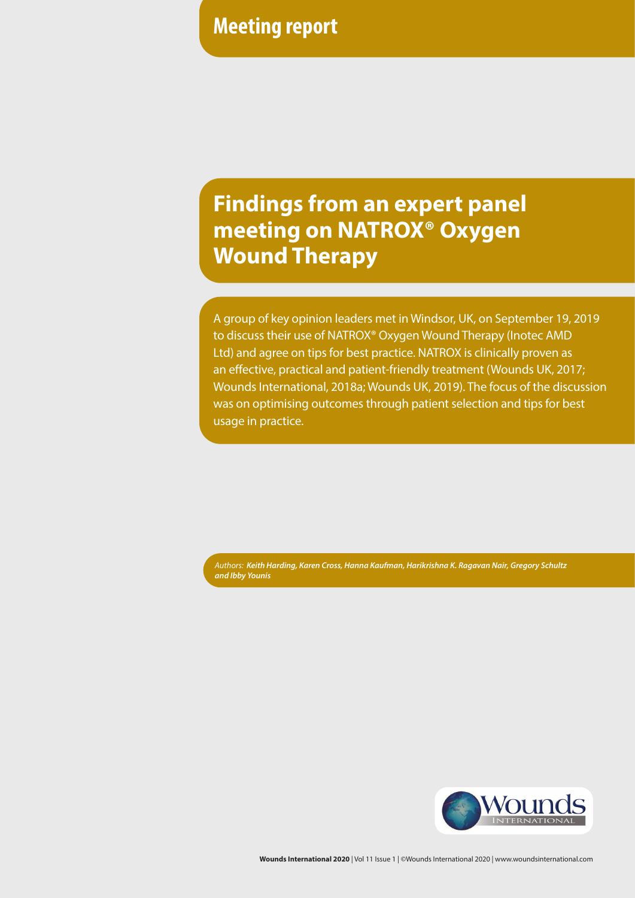# **Meeting report**

# **Findings from an expert panel meeting on NATROX® Oxygen Wound Therapy**

A group of key opinion leaders met in Windsor, UK, on September 19, 2019 to discuss their use of NATROX® Oxygen Wound Therapy (Inotec AMD Ltd) and agree on tips for best practice. NATROX is clinically proven as an effective, practical and patient-friendly treatment (Wounds UK, 2017; Wounds International, 2018a; Wounds UK, 2019). The focus of the discussion was on optimising outcomes through patient selection and tips for best usage in practice.

*Authors: Keith Harding, Karen Cross, Hanna Kaufman, Harikrishna K. Ragavan Nair, Gregory Schultz and Ibby Younis*



**Wounds International 2020** | Vol 11 Issue 1 | ©Wounds International 2020 | www.woundsinternational.com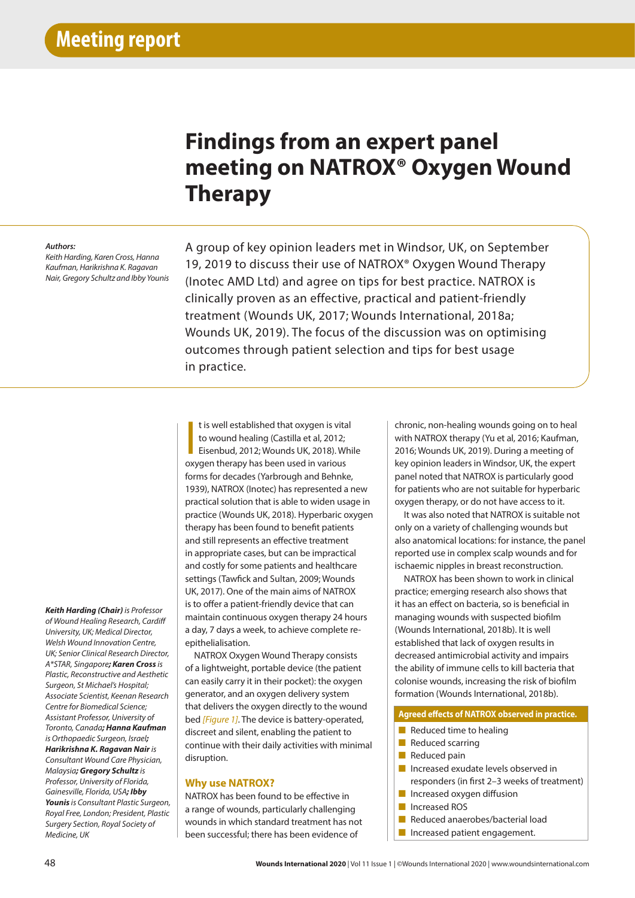# **Findings from an expert panel meeting on NATROX® Oxygen Wound Therapy**

#### *Authors:*

*Keith Harding, Karen Cross, Hanna Kaufman, Harikrishna K. Ragavan Nair, Gregory Schultz and Ibby Younis*

Intro A group of key opinion leaders met in Windsor, UK, on September 19, 2019 to discuss their use of NATROX® Oxygen Wound Therapy (Inotec AMD Ltd) and agree on tips for best practice. NATROX is clinically proven as an effective, practical and patient-friendly treatment (Wounds UK, 2017; Wounds International, 2018a; Wounds UK, 2019). The focus of the discussion was on optimising outcomes through patient selection and tips for best usage in practice.

*Keith Harding (Chair) is Professor of Wound Healing Research, Cardiff University, UK; Medical Director, Welsh Wound Innovation Centre, UK; Senior Clinical Research Director, A\*STAR, Singapore; Karen Cross is Plastic, Reconstructive and Aesthetic Surgeon, St Michael's Hospital; Associate Scientist, Keenan Research Centre for Biomedical Science; Assistant Professor, University of Toronto, Canada; Hanna Kaufman is Orthopaedic Surgeon, Israel; Harikrishna K. Ragavan Nair is Consultant Wound Care Physician, Malaysia; Gregory Schultz is Professor, University of Florida, Gainesville, Florida, USA; Ibby Younis is Consultant Plastic Surgeon, Royal Free, London; President, Plastic Surgery Section, Royal Society of Medicine, UK*

t is well established that oxygen is vita<br>to wound healing (Castilla et al, 2012;<br>Eisenbud, 2012; Wounds UK, 2018). W<br>oxygen therapy has been used in various t is well established that oxygen is vital to wound healing (Castilla et al, 2012; Eisenbud, 2012; Wounds UK, 2018). While forms for decades (Yarbrough and Behnke, 1939), NATROX (Inotec) has represented a new practical solution that is able to widen usage in practice (Wounds UK, 2018). Hyperbaric oxygen therapy has been found to benefit patients and still represents an effective treatment in appropriate cases, but can be impractical and costly for some patients and healthcare settings (Tawfick and Sultan, 2009; Wounds UK, 2017). One of the main aims of NATROX is to offer a patient-friendly device that can maintain continuous oxygen therapy 24 hours a day, 7 days a week, to achieve complete reepithelialisation.

NATROX Oxygen Wound Therapy consists of a lightweight, portable device (the patient can easily carry it in their pocket): the oxygen generator, and an oxygen delivery system that delivers the oxygen directly to the wound bed *[Figure 1]*. The device is battery-operated, discreet and silent, enabling the patient to continue with their daily activities with minimal disruption.

## **Why use NATROX?**

NATROX has been found to be effective in a range of wounds, particularly challenging wounds in which standard treatment has not been successful; there has been evidence of

chronic, non-healing wounds going on to heal with NATROX therapy (Yu et al, 2016; Kaufman, 2016; Wounds UK, 2019). During a meeting of key opinion leaders in Windsor, UK, the expert panel noted that NATROX is particularly good for patients who are not suitable for hyperbaric oxygen therapy, or do not have access to it.

It was also noted that NATROX is suitable not only on a variety of challenging wounds but also anatomical locations: for instance, the panel reported use in complex scalp wounds and for ischaemic nipples in breast reconstruction.

NATROX has been shown to work in clinical practice; emerging research also shows that it has an effect on bacteria, so is beneficial in managing wounds with suspected biofilm (Wounds International, 2018b). It is well established that lack of oxygen results in decreased antimicrobial activity and impairs the ability of immune cells to kill bacteria that colonise wounds, increasing the risk of biofilm formation (Wounds International, 2018b).

#### **Agreed effects of NATROX observed in practice.**

- Reduced time to healing
- Reduced scarring
- Reduced pain
- Increased exudate levels observed in responders (in first 2–3 weeks of treatment)
- Increased oxygen diffusion
- Increased ROS
- Reduced anaerobes/bacterial load
- Increased patient engagement.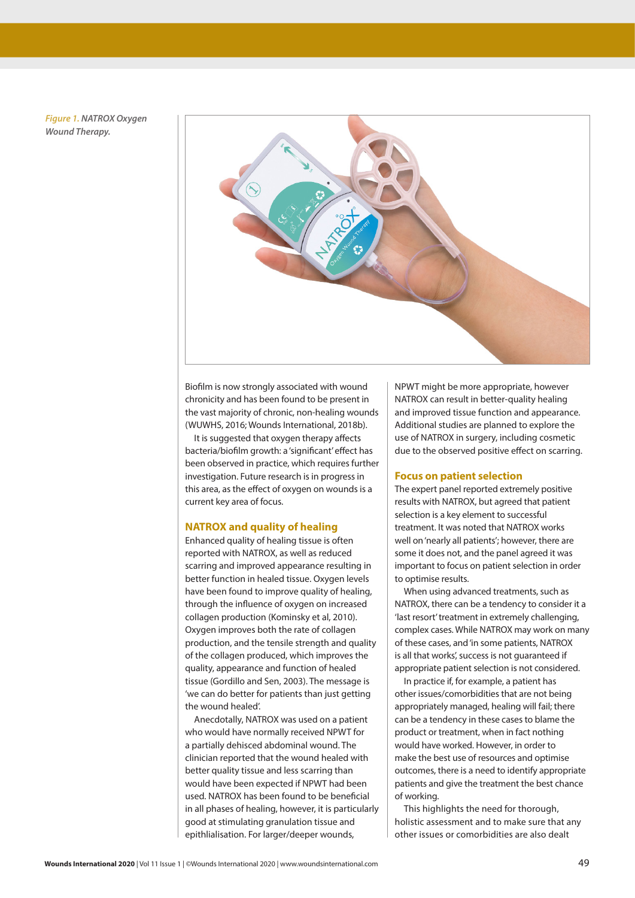*Figure 1. NATROX Oxygen Wound Therapy.*



Biofilm is now strongly associated with wound chronicity and has been found to be present in the vast majority of chronic, non-healing wounds (WUWHS, 2016; Wounds International, 2018b).

It is suggested that oxygen therapy affects bacteria/biofilm growth: a 'significant' effect has been observed in practice, which requires further investigation. Future research is in progress in this area, as the effect of oxygen on wounds is a current key area of focus.

# **NATROX and quality of healing**

Enhanced quality of healing tissue is often reported with NATROX, as well as reduced scarring and improved appearance resulting in better function in healed tissue. Oxygen levels have been found to improve quality of healing, through the influence of oxygen on increased collagen production (Kominsky et al, 2010). Oxygen improves both the rate of collagen production, and the tensile strength and quality of the collagen produced, which improves the quality, appearance and function of healed tissue (Gordillo and Sen, 2003). The message is 'we can do better for patients than just getting the wound healed'.

Anecdotally, NATROX was used on a patient who would have normally received NPWT for a partially dehisced abdominal wound. The clinician reported that the wound healed with better quality tissue and less scarring than would have been expected if NPWT had been used. NATROX has been found to be beneficial in all phases of healing, however, it is particularly good at stimulating granulation tissue and epithlialisation. For larger/deeper wounds,

NPWT might be more appropriate, however NATROX can result in better-quality healing and improved tissue function and appearance. Additional studies are planned to explore the use of NATROX in surgery, including cosmetic due to the observed positive effect on scarring.

#### **Focus on patient selection**

The expert panel reported extremely positive results with NATROX, but agreed that patient selection is a key element to successful treatment. It was noted that NATROX works well on 'nearly all patients'; however, there are some it does not, and the panel agreed it was important to focus on patient selection in order to optimise results.

When using advanced treatments, such as NATROX, there can be a tendency to consider it a 'last resort' treatment in extremely challenging, complex cases. While NATROX may work on many of these cases, and 'in some patients, NATROX is all that works', success is not guaranteed if appropriate patient selection is not considered.

In practice if, for example, a patient has other issues/comorbidities that are not being appropriately managed, healing will fail; there can be a tendency in these cases to blame the product or treatment, when in fact nothing would have worked. However, in order to make the best use of resources and optimise outcomes, there is a need to identify appropriate patients and give the treatment the best chance of working.

This highlights the need for thorough, holistic assessment and to make sure that any other issues or comorbidities are also dealt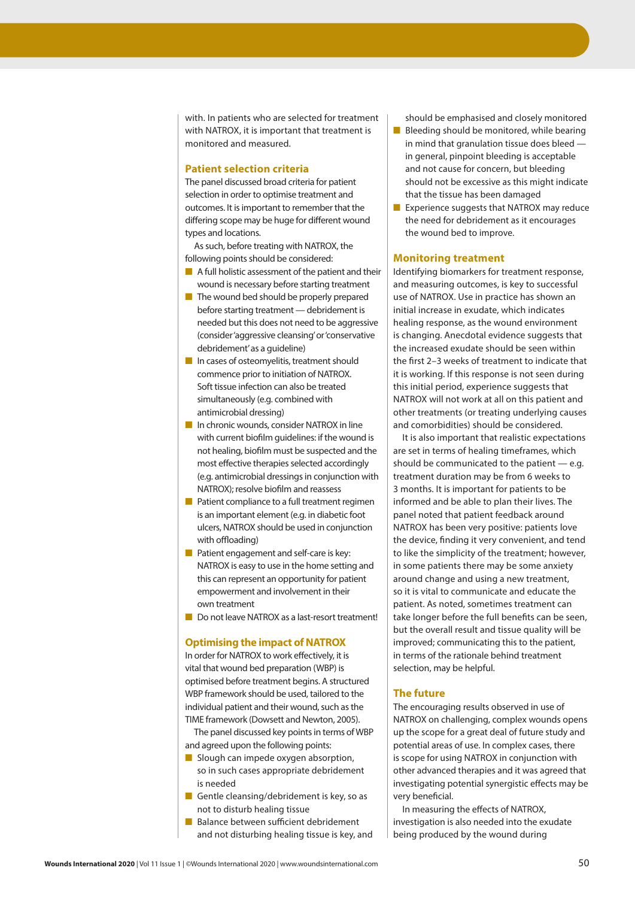with. In patients who are selected for treatment with NATROX, it is important that treatment is monitored and measured.

# **Patient selection criteria**

The panel discussed broad criteria for patient selection in order to optimise treatment and outcomes. It is important to remember that the differing scope may be huge for different wound types and locations.

As such, before treating with NATROX, the following points should be considered:

- A full holistic assessment of the patient and their wound is necessary before starting treatment
- The wound bed should be properly prepared before starting treatment — debridement is needed but this does not need to be aggressive (consider 'aggressive cleansing' or 'conservative debridement' as a guideline)
- In cases of osteomyelitis, treatment should commence prior to initiation of NATROX. Soft tissue infection can also be treated simultaneously (e.g. combined with antimicrobial dressing)
- In chronic wounds, consider NATROX in line with current biofilm guidelines: if the wound is not healing, biofilm must be suspected and the most effective therapies selected accordingly (e.g. antimicrobial dressings in conjunction with NATROX); resolve biofilm and reassess
- Patient compliance to a full treatment regimen is an important element (e.g. in diabetic foot ulcers, NATROX should be used in conjunction with offloading)
- Patient engagement and self-care is key: NATROX is easy to use in the home setting and this can represent an opportunity for patient empowerment and involvement in their own treatment
- Do not leave NATROX as a last-resort treatment!

### **Optimising the impact of NATROX**

In order for NATROX to work effectively, it is vital that wound bed preparation (WBP) is optimised before treatment begins. A structured WBP framework should be used, tailored to the individual patient and their wound, such as the TIME framework (Dowsett and Newton, 2005).

The panel discussed key points in terms of WBP and agreed upon the following points:

- Slough can impede oxygen absorption, so in such cases appropriate debridement is needed
- Gentle cleansing/debridement is key, so as not to disturb healing tissue
- Balance between sufficient debridement and not disturbing healing tissue is key, and

should be emphasised and closely monitored

- Bleeding should be monitored, while bearing in mind that granulation tissue does bleed in general, pinpoint bleeding is acceptable and not cause for concern, but bleeding should not be excessive as this might indicate that the tissue has been damaged
- Experience suggests that NATROX may reduce the need for debridement as it encourages the wound bed to improve.

#### **Monitoring treatment**

Identifying biomarkers for treatment response, and measuring outcomes, is key to successful use of NATROX. Use in practice has shown an initial increase in exudate, which indicates healing response, as the wound environment is changing. Anecdotal evidence suggests that the increased exudate should be seen within the first 2–3 weeks of treatment to indicate that it is working. If this response is not seen during this initial period, experience suggests that NATROX will not work at all on this patient and other treatments (or treating underlying causes and comorbidities) should be considered.

It is also important that realistic expectations are set in terms of healing timeframes, which should be communicated to the patient  $-$  e.g. treatment duration may be from 6 weeks to 3 months. It is important for patients to be informed and be able to plan their lives. The panel noted that patient feedback around NATROX has been very positive: patients love the device, finding it very convenient, and tend to like the simplicity of the treatment; however, in some patients there may be some anxiety around change and using a new treatment, so it is vital to communicate and educate the patient. As noted, sometimes treatment can take longer before the full benefits can be seen, but the overall result and tissue quality will be improved; communicating this to the patient, in terms of the rationale behind treatment selection, may be helpful.

#### **The future**

The encouraging results observed in use of NATROX on challenging, complex wounds opens up the scope for a great deal of future study and potential areas of use. In complex cases, there is scope for using NATROX in conjunction with other advanced therapies and it was agreed that investigating potential synergistic effects may be very beneficial.

In measuring the effects of NATROX, investigation is also needed into the exudate being produced by the wound during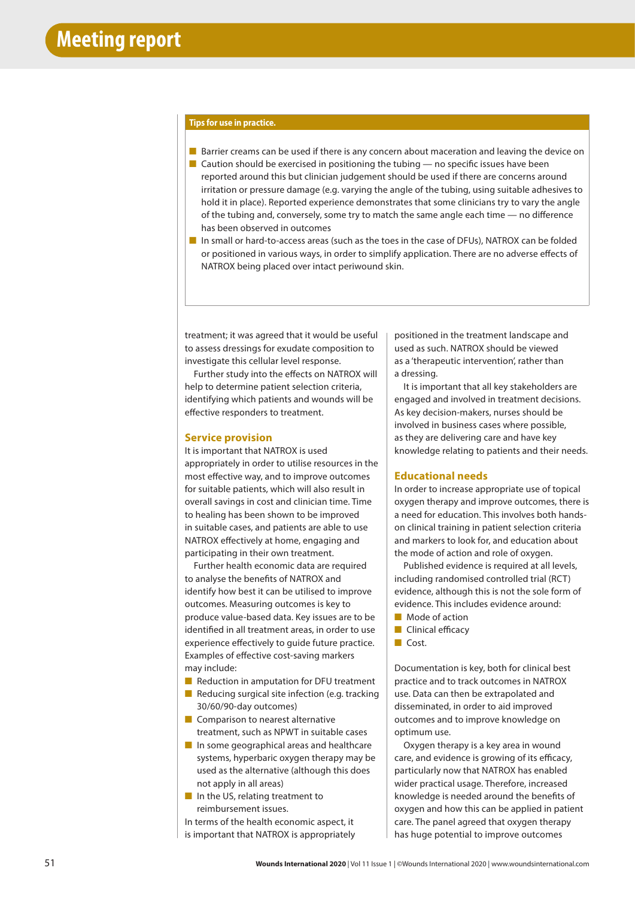#### **Tips for use in practice.**

- Barrier creams can be used if there is any concern about maceration and leaving the device on  $\blacksquare$  Caution should be exercised in positioning the tubing — no specific issues have been
- reported around this but clinician judgement should be used if there are concerns around irritation or pressure damage (e.g. varying the angle of the tubing, using suitable adhesives to hold it in place). Reported experience demonstrates that some clinicians try to vary the angle of the tubing and, conversely, some try to match the same angle each time — no difference has been observed in outcomes
- In small or hard-to-access areas (such as the toes in the case of DFUs), NATROX can be folded or positioned in various ways, in order to simplify application. There are no adverse effects of NATROX being placed over intact periwound skin.

treatment; it was agreed that it would be useful to assess dressings for exudate composition to investigate this cellular level response.

Further study into the effects on NATROX will help to determine patient selection criteria, identifying which patients and wounds will be effective responders to treatment.

### **Service provision**

It is important that NATROX is used appropriately in order to utilise resources in the most effective way, and to improve outcomes for suitable patients, which will also result in overall savings in cost and clinician time. Time to healing has been shown to be improved in suitable cases, and patients are able to use NATROX effectively at home, engaging and participating in their own treatment.

Further health economic data are required to analyse the benefits of NATROX and identify how best it can be utilised to improve outcomes. Measuring outcomes is key to produce value-based data. Key issues are to be identified in all treatment areas, in order to use experience effectively to guide future practice. Examples of effective cost-saving markers may include:

- Reduction in amputation for DFU treatment
- Reducing surgical site infection (e.g. tracking 30/60/90-day outcomes)
- Comparison to nearest alternative treatment, such as NPWT in suitable cases
- In some geographical areas and healthcare systems, hyperbaric oxygen therapy may be used as the alternative (although this does not apply in all areas)
- In the US, relating treatment to reimbursement issues.

In terms of the health economic aspect, it is important that NATROX is appropriately

positioned in the treatment landscape and used as such. NATROX should be viewed as a 'therapeutic intervention', rather than a dressing.

It is important that all key stakeholders are engaged and involved in treatment decisions. As key decision-makers, nurses should be involved in business cases where possible, as they are delivering care and have key knowledge relating to patients and their needs.

## **Educational needs**

In order to increase appropriate use of topical oxygen therapy and improve outcomes, there is a need for education. This involves both handson clinical training in patient selection criteria and markers to look for, and education about the mode of action and role of oxygen.

Published evidence is required at all levels, including randomised controlled trial (RCT) evidence, although this is not the sole form of evidence. This includes evidence around:

- Mode of action
- Clinical efficacy
- Cost.

Documentation is key, both for clinical best practice and to track outcomes in NATROX use. Data can then be extrapolated and disseminated, in order to aid improved outcomes and to improve knowledge on optimum use.

Oxygen therapy is a key area in wound care, and evidence is growing of its efficacy, particularly now that NATROX has enabled wider practical usage. Therefore, increased knowledge is needed around the benefits of oxygen and how this can be applied in patient care. The panel agreed that oxygen therapy has huge potential to improve outcomes